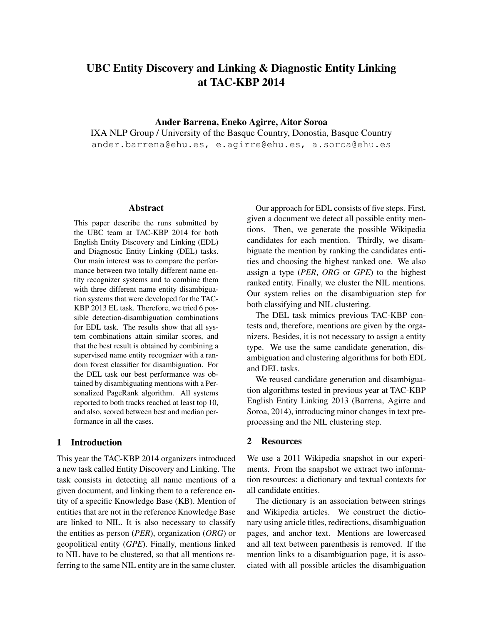# UBC Entity Discovery and Linking & Diagnostic Entity Linking at TAC-KBP 2014

### Ander Barrena, Eneko Agirre, Aitor Soroa

IXA NLP Group / University of the Basque Country, Donostia, Basque Country ander.barrena@ehu.es, e.agirre@ehu.es, a.soroa@ehu.es

### Abstract

This paper describe the runs submitted by the UBC team at TAC-KBP 2014 for both English Entity Discovery and Linking (EDL) and Diagnostic Entity Linking (DEL) tasks. Our main interest was to compare the performance between two totally different name entity recognizer systems and to combine them with three different name entity disambiguation systems that were developed for the TAC-KBP 2013 EL task. Therefore, we tried 6 possible detection-disambiguation combinations for EDL task. The results show that all system combinations attain similar scores, and that the best result is obtained by combining a supervised name entity recognizer with a random forest classifier for disambiguation. For the DEL task our best performance was obtained by disambiguating mentions with a Personalized PageRank algorithm. All systems reported to both tracks reached at least top 10, and also, scored between best and median performance in all the cases.

# 1 Introduction

This year the TAC-KBP 2014 organizers introduced a new task called Entity Discovery and Linking. The task consists in detecting all name mentions of a given document, and linking them to a reference entity of a specific Knowledge Base (KB). Mention of entities that are not in the reference Knowledge Base are linked to NIL. It is also necessary to classify the entities as person (*PER*), organization (*ORG*) or geopolitical entity (*GPE*). Finally, mentions linked to NIL have to be clustered, so that all mentions referring to the same NIL entity are in the same cluster.

Our approach for EDL consists of five steps. First, given a document we detect all possible entity mentions. Then, we generate the possible Wikipedia candidates for each mention. Thirdly, we disambiguate the mention by ranking the candidates entities and choosing the highest ranked one. We also assign a type (*PER*, *ORG* or *GPE*) to the highest ranked entity. Finally, we cluster the NIL mentions. Our system relies on the disambiguation step for both classifying and NIL clustering.

The DEL task mimics previous TAC-KBP contests and, therefore, mentions are given by the organizers. Besides, it is not necessary to assign a entity type. We use the same candidate generation, disambiguation and clustering algorithms for both EDL and DEL tasks.

We reused candidate generation and disambiguation algorithms tested in previous year at TAC-KBP English Entity Linking 2013 (Barrena, Agirre and Soroa, 2014), introducing minor changes in text preprocessing and the NIL clustering step.

### 2 Resources

We use a 2011 Wikipedia snapshot in our experiments. From the snapshot we extract two information resources: a dictionary and textual contexts for all candidate entities.

The dictionary is an association between strings and Wikipedia articles. We construct the dictionary using article titles, redirections, disambiguation pages, and anchor text. Mentions are lowercased and all text between parenthesis is removed. If the mention links to a disambiguation page, it is associated with all possible articles the disambiguation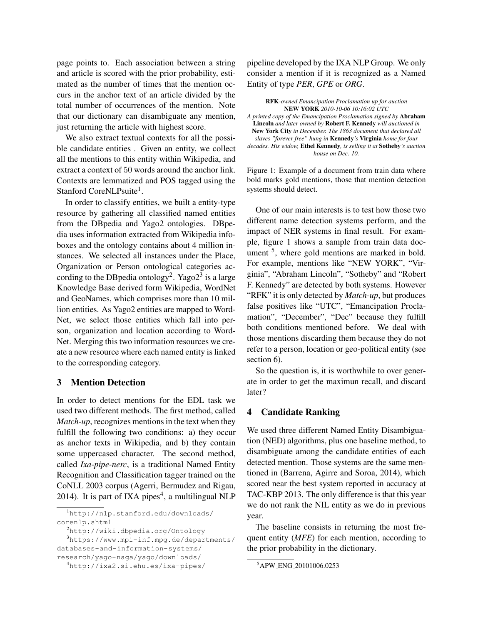page points to. Each association between a string and article is scored with the prior probability, estimated as the number of times that the mention occurs in the anchor text of an article divided by the total number of occurrences of the mention. Note that our dictionary can disambiguate any mention, just returning the article with highest score.

We also extract textual contexts for all the possible candidate entities . Given an entity, we collect all the mentions to this entity within Wikipedia, and extract a context of 50 words around the anchor link. Contexts are lemmatized and POS tagged using the Stanford CoreNLPsuite<sup>1</sup>.

In order to classify entities, we built a entity-type resource by gathering all classified named entities from the DBpedia and Yago2 ontologies. DBpedia uses information extracted from Wikipedia infoboxes and the ontology contains about 4 million instances. We selected all instances under the Place, Organization or Person ontological categories according to the DBpedia ontology<sup>2</sup>. Yago2<sup>3</sup> is a large Knowledge Base derived form Wikipedia, WordNet and GeoNames, which comprises more than 10 million entities. As Yago2 entities are mapped to Word-Net, we select those entities which fall into person, organization and location according to Word-Net. Merging this two information resources we create a new resource where each named entity is linked to the corresponding category.

# 3 Mention Detection

In order to detect mentions for the EDL task we used two different methods. The first method, called *Match-up*, recognizes mentions in the text when they fulfill the following two conditions: a) they occur as anchor texts in Wikipedia, and b) they contain some uppercased character. The second method, called *Ixa-pipe-nerc*, is a traditional Named Entity Recognition and Classification tagger trained on the CoNLL 2003 corpus (Agerri, Bermudez and Rigau, 2014). It is part of IXA pipes<sup>4</sup>, a multilingual NLP

<sup>3</sup>https://www.mpi-inf.mpg.de/departments/ databases-and-information-systems/

research/yago-naga/yago/downloads/

pipeline developed by the IXA NLP Group. We only consider a mention if it is recognized as a Named Entity of type *PER*, *GPE* or *ORG*.

RFK*-owned Emancipation Proclamation up for auction* NEW YORK *2010-10-06 10:16:02 UTC*

*A printed copy of the Emancipation Proclamation signed by* Abraham Lincoln *and later owned by* Robert F. Kennedy *will auctioned in* New York City *in December. The 1863 document that declared all slaves "forever free" hung in* Kennedy*'s* Virginia *home for four decades. His widow,* Ethel Kennedy*, is selling it at* Sotheby*'s auction house on Dec. 10.*

Figure 1: Example of a document from train data where bold marks gold mentions, those that mention detection systems should detect.

One of our main interests is to test how those two different name detection systems perform, and the impact of NER systems in final result. For example, figure 1 shows a sample from train data document <sup>5</sup>, where gold mentions are marked in bold. For example, mentions like "NEW YORK", "Virginia", "Abraham Lincoln", "Sotheby" and "Robert F. Kennedy" are detected by both systems. However "RFK" it is only detected by *Match-up*, but produces false positives like "UTC", "Emancipation Proclamation", "December", "Dec" because they fulfill both conditions mentioned before. We deal with those mentions discarding them because they do not refer to a person, location or geo-political entity (see section 6).

So the question is, it is worthwhile to over generate in order to get the maximun recall, and discard later?

### 4 Candidate Ranking

We used three different Named Entity Disambiguation (NED) algorithms, plus one baseline method, to disambiguate among the candidate entities of each detected mention. Those systems are the same mentioned in (Barrena, Agirre and Soroa, 2014), which scored near the best system reported in accuracy at TAC-KBP 2013. The only difference is that this year we do not rank the NIL entity as we do in previous year.

The baseline consists in returning the most frequent entity (*MFE*) for each mention, according to the prior probability in the dictionary.

<sup>1</sup>http://nlp.stanford.edu/downloads/ corenlp.shtml

<sup>2</sup>http://wiki.dbpedia.org/Ontology

<sup>4</sup>http://ixa2.si.ehu.es/ixa-pipes/

<sup>5</sup>APW ENG 20101006.0253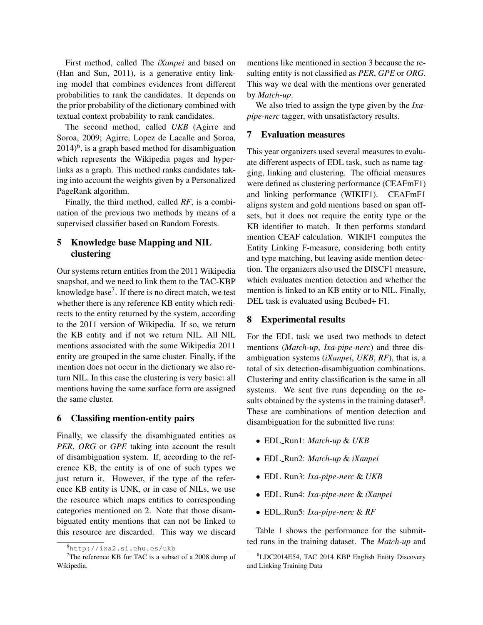First method, called The *iXanpei* and based on (Han and Sun, 2011), is a generative entity linking model that combines evidences from different probabilities to rank the candidates. It depends on the prior probability of the dictionary combined with textual context probability to rank candidates.

The second method, called *UKB* (Agirre and Soroa, 2009; Agirre, Lopez de Lacalle and Soroa,  $2014)$ <sup>6</sup>, is a graph based method for disambiguation which represents the Wikipedia pages and hyperlinks as a graph. This method ranks candidates taking into account the weights given by a Personalized PageRank algorithm.

Finally, the third method, called *RF*, is a combination of the previous two methods by means of a supervised classifier based on Random Forests.

# 5 Knowledge base Mapping and NIL clustering

Our systems return entities from the 2011 Wikipedia snapshot, and we need to link them to the TAC-KBP knowledge base<sup>7</sup>. If there is no direct match, we test whether there is any reference KB entity which redirects to the entity returned by the system, according to the 2011 version of Wikipedia. If so, we return the KB entity and if not we return NIL. All NIL mentions associated with the same Wikipedia 2011 entity are grouped in the same cluster. Finally, if the mention does not occur in the dictionary we also return NIL. In this case the clustering is very basic: all mentions having the same surface form are assigned the same cluster.

### 6 Classifing mention-entity pairs

Finally, we classify the disambiguated entities as *PER*, *ORG* or *GPE* taking into account the result of disambiguation system. If, according to the reference KB, the entity is of one of such types we just return it. However, if the type of the reference KB entity is UNK, or in case of NILs, we use the resource which maps entities to corresponding categories mentioned on 2. Note that those disambiguated entity mentions that can not be linked to this resource are discarded. This way we discard mentions like mentioned in section 3 because the resulting entity is not classified as *PER*, *GPE* or *ORG*. This way we deal with the mentions over generated by *Match-up*.

We also tried to assign the type given by the *Ixapipe-nerc* tagger, with unsatisfactory results.

# 7 Evaluation measures

This year organizers used several measures to evaluate different aspects of EDL task, such as name tagging, linking and clustering. The official measures were defined as clustering performance (CEAFmF1) and linking performance (WIKIF1). CEAFmF1 aligns system and gold mentions based on span offsets, but it does not require the entity type or the KB identifier to match. It then performs standard mention CEAF calculation. WIKIF1 computes the Entity Linking F-measure, considering both entity and type matching, but leaving aside mention detection. The organizers also used the DISCF1 measure, which evaluates mention detection and whether the mention is linked to an KB entity or to NIL. Finally, DEL task is evaluated using Bcubed+ F1.

### 8 Experimental results

For the EDL task we used two methods to detect mentions (*Match-up*, *Ixa-pipe-nerc*) and three disambiguation systems (*iXanpei*, *UKB*, *RF*), that is, a total of six detection-disambiguation combinations. Clustering and entity classification is the same in all systems. We sent five runs depending on the results obtained by the systems in the training dataset $8$ . These are combinations of mention detection and disambiguation for the submitted five runs:

- EDL Run1: *Match-up* & *UKB*
- EDL Run2: *Match-up* & *iXanpei*
- EDL Run3: *Ixa-pipe-nerc* & *UKB*
- EDL Run4: *Ixa-pipe-nerc* & *iXanpei*
- EDL Run5: *Ixa-pipe-nerc* & *RF*

Table 1 shows the performance for the submitted runs in the training dataset. The *Match-up* and

<sup>6</sup>http://ixa2.si.ehu.es/ukb

<sup>&</sup>lt;sup>7</sup>The reference KB for TAC is a subset of a 2008 dump of Wikipedia.

<sup>8</sup>LDC2014E54, TAC 2014 KBP English Entity Discovery and Linking Training Data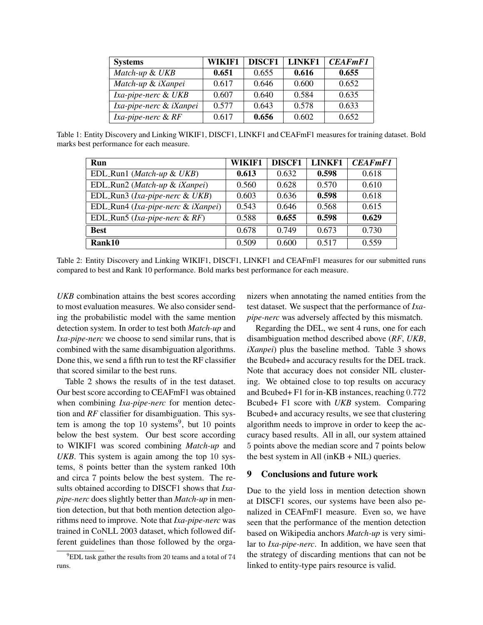| <b>Systems</b>          | WIKIF1 | <b>DISCF1</b> | <b>LINKF1</b> | <b>CEAFmF1</b> |
|-------------------------|--------|---------------|---------------|----------------|
| Match-up & UKB          | 0.651  | 0.655         | 0.616         | 0.655          |
| Match-up & iXanpei      | 0.617  | 0.646         | 0.600         | 0.652          |
| Ixa-pipe-nerc & UKB     | 0.607  | 0.640         | 0.584         | 0.635          |
| Ixa-pipe-nerc & iXanpei | 0.577  | 0.643         | 0.578         | 0.633          |
| Ixa-pipe-nerc & RF      | 0.617  | 0.656         | 0.602         | 0.652          |

Table 1: Entity Discovery and Linking WIKIF1, DISCF1, LINKF1 and CEAFmF1 measures for training dataset. Bold marks best performance for each measure.

| Run                                      | WIKIF1 | <b>DISCF1</b> | <b>LINKF1</b> | <b>CEAFmF1</b> |
|------------------------------------------|--------|---------------|---------------|----------------|
| EDL_Run1 (Match-up & UKB)                | 0.613  | 0.632         | 0.598         | 0.618          |
| EDL_Run2 (Match-up & iXanpei)            | 0.560  | 0.628         | 0.570         | 0.610          |
| EDL_Run3 (Ixa-pipe-nerc & UKB)           | 0.603  | 0.636         | 0.598         | 0.618          |
| EDL_Run4 (Ixa-pipe-nerc & iXanpei)       | 0.543  | 0.646         | 0.568         | 0.615          |
| EDL_Run5 ( <i>Ixa-pipe-nerc</i> & $RF$ ) | 0.588  | 0.655         | 0.598         | 0.629          |
| <b>Best</b>                              | 0.678  | 0.749         | 0.673         | 0.730          |
| Rank10                                   | 0.509  | 0.600         | 0.517         | 0.559          |

Table 2: Entity Discovery and Linking WIKIF1, DISCF1, LINKF1 and CEAFmF1 measures for our submitted runs compared to best and Rank 10 performance. Bold marks best performance for each measure.

*UKB* combination attains the best scores according to most evaluation measures. We also consider sending the probabilistic model with the same mention detection system. In order to test both *Match-up* and *Ixa-pipe-nerc* we choose to send similar runs, that is combined with the same disambiguation algorithms. Done this, we send a fifth run to test the RF classifier that scored similar to the best runs.

Table 2 shows the results of in the test dataset. Our best score according to CEAFmF1 was obtained when combining *Ixa-pipe-nerc* for mention detection and *RF* classifier for disambiguation. This system is among the top  $10$  systems<sup>9</sup>, but  $10$  points below the best system. Our best score according to WIKIF1 was scored combining *Match-up* and *UKB*. This system is again among the top 10 systems, 8 points better than the system ranked 10th and circa 7 points below the best system. The results obtained according to DISCF1 shows that *Ixapipe-nerc* does slightly better than *Match-up* in mention detection, but that both mention detection algorithms need to improve. Note that *Ixa-pipe-nerc* was trained in CoNLL 2003 dataset, which followed different guidelines than those followed by the organizers when annotating the named entities from the test dataset. We suspect that the performance of *Ixapipe-nerc* was adversely affected by this mismatch.

Regarding the DEL, we sent 4 runs, one for each disambiguation method described above (*RF*, *UKB*, *iXanpei*) plus the baseline method. Table 3 shows the Bcubed+ and accuracy results for the DEL track. Note that accuracy does not consider NIL clustering. We obtained close to top results on accuracy and Bcubed+ F1 for in-KB instances, reaching 0.772 Bcubed+ F1 score with *UKB* system. Comparing Bcubed+ and accuracy results, we see that clustering algorithm needs to improve in order to keep the accuracy based results. All in all, our system attained 5 points above the median score and 7 points below the best system in All  $(inKB + NIL)$  queries.

### 9 Conclusions and future work

Due to the yield loss in mention detection shown at DISCF1 scores, our systems have been also penalized in CEAFmF1 measure. Even so, we have seen that the performance of the mention detection based on Wikipedia anchors *Match-up* is very similar to *Ixa-pipe-nerc*. In addition, we have seen that the strategy of discarding mentions that can not be linked to entity-type pairs resource is valid.

 $9$ EDL task gather the results from 20 teams and a total of  $74$ runs.